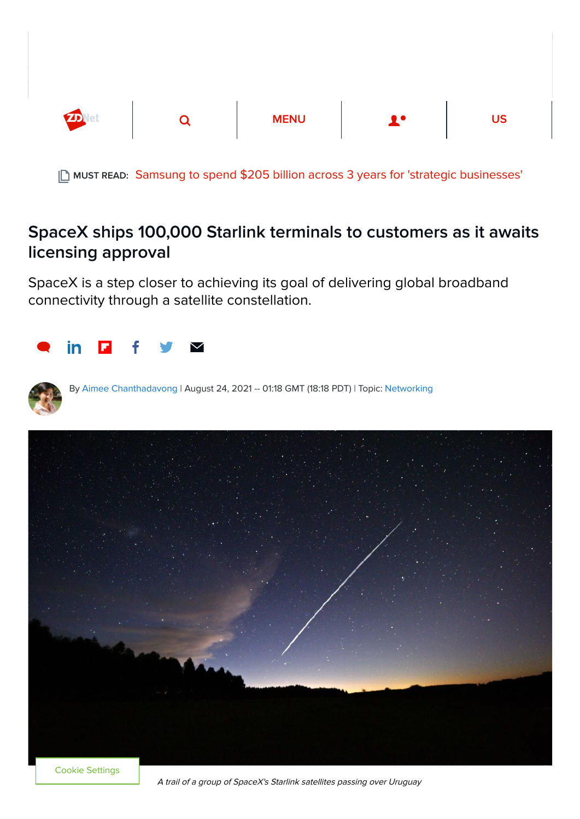

MUST READ: [Samsung to spend \\$205 billion across 3 years for 'strategic businesses'](https://www.zdnet.com/article/samsung-to-spend-205-billion-in-next-3-years-for-strategic-businesses/)

## SpaceX ships 100,000 Starlink terminals to customers as it awaits licensing approval

SpaceX is a step closer to achieving its goal of delivering global broadband connectivity through a satellite constellation.





By [Aimee Chanthadavong](https://www.zdnet.com/meet-the-team/au/aimee-chanthadavong/) | August 24, 2021 -- 01:18 GMT (18:18 PDT) | Topic: [Networking](https://www.zdnet.com/topic/networking/)



Cookie Settings

A trail of a group of SpaceX's Starlink satellites passing over Uruguay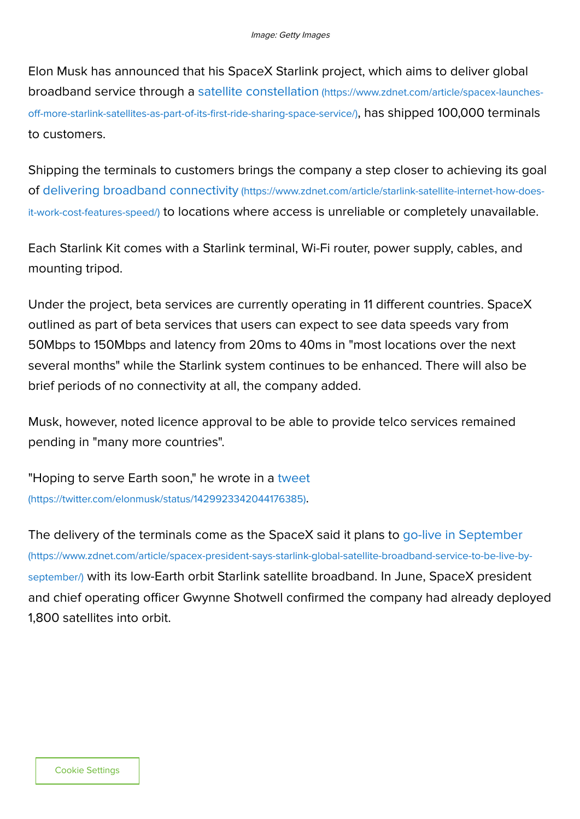Elon Musk has announced that his SpaceX Starlink project, which aims to deliver global [broadband service through a satellite constellation](https://www.zdnet.com/article/spacex-launches-off-more-starlink-satellites-as-part-of-its-first-ride-sharing-space-service/) (https://www.zdnet.com/article/spacex-launchesoff-more-starlink-satellites-as-part-of-its-first-ride-sharing-space-service/), has shipped 100,000 terminals to customers.

Shipping the terminals to customers brings the company a step closer to achieving its goal of delivering broadband connectivity (https://www.zdnet.com/article/starlink-satellite-internet-how-doesit-work-cost-features-speed/) [to locations where access is unreliable or completely unavailable.](https://www.zdnet.com/article/starlink-satellite-internet-how-does-it-work-cost-features-speed/)

Each Starlink Kit comes with a Starlink terminal, Wi-Fi router, power supply, cables, and mounting tripod.

Under the project, beta services are currently operating in 11 different countries. SpaceX outlined as part of beta services that users can expect to see data speeds vary from 50Mbps to 150Mbps and latency from 20ms to 40ms in "most locations over the next several months" while the Starlink system continues to be enhanced. There will also be brief periods of no connectivity at all, the company added.

Musk, however, noted licence approval to be able to provide telco services remained pending in "many more countries".

["Hoping to serve Earth soon," he wrote in a tweet](https://twitter.com/elonmusk/status/1429923342044176385) (https://twitter.com/elonmusk/status/1429923342044176385).

[The delivery of the terminals come as the SpaceX said it plans to go-live in September](https://www.zdnet.com/article/spacex-president-says-starlink-global-satellite-broadband-service-to-be-live-by-september/) (https://www.zdnet.com/article/spacex-president-says-starlink-global-satellite-broadband-service-to-be-live-byseptember/) with its low-Earth orbit Starlink satellite broadband. In June, SpaceX president and chief operating officer Gwynne Shotwell confirmed the company had already deployed 1,800 satellites into orbit.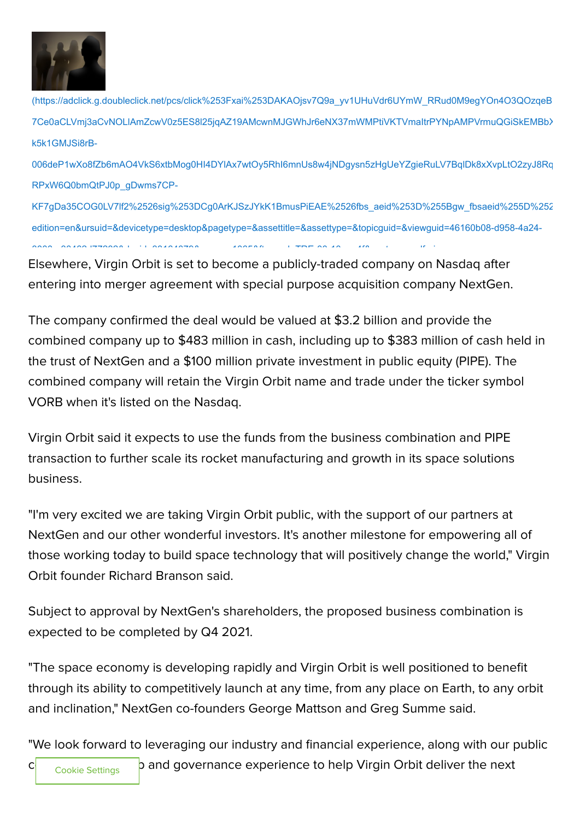

[\(https://adclick.g.doubleclick.net/pcs/click%253Fxai%253DAKAOjsv7Q9a\\_yv1UHuVdr6UYmW\\_RRud0M9egYOn4O3QOzqeB](https://adclick.g.doubleclick.net/pcs/click%253Fxai%253DAKAOjsv7Q9a_yv1UHuVdr6UYmW_RRud0M9egYOn4O3QOzqeBEKr9EwEMeRpdYD2hUB4-7Ce0aCLVmj3aCvNOLlAmZcwV0z5ES8l25jqAZ19AMcwnMJGWhJr6eNX37mWMPtiVKTVmaItrPYNpAMPVrmuQGiSkEMBbXMcw-k5k1GMJSi8rB-006deP1wXo8fZb6mAO4VkS6xtbMog0HI4DYlAx7wtOy5RhI6mnUs8w4jNDgysn5zHgUeYZgieRuLV7BqlDk8xXvpLtO2zyJ8RqXR5ZvrN3weZl-RPxW6Q0bmQtPJ0p_gDwms7CP-KF7gDa35COG0LV7lf2%2526sig%253DCg0ArKJSzJYkK1BmusPiEAE%2526fbs_aeid%253D%255Bgw_fbsaeid%255D%2526urlfix%253D1%2526adurl%253Dhttps://lnk.techrepublic.com/redir?edition=en&ursuid=&devicetype=desktop&pagetype=&assettitle=&assettype=&topicguid=&viewguid=46160b08-d958-4a24-8000-e30462d77282&docid=33164079&promo=1065&ftag_cd=TRE-00-10aaa4f&spotname=dfp-in-article&destUrl=https%253A%252F%252Fwww.techrepublic.com%252Fresource-library%252Fwhitepapers%252Fsalesforce-trailblazer-certification-training-bundle-zdnet-academy%252F%253Fpromo%253D1065%2526ftag%253DTRE-00-10aaa4f%2526cval%253Ddfp-in-article%2526source%253Dzdnet%2526tid%253D2508210625327121082&ctag=medc-proxy&siteId=&rsid=cnetzdnetglobalsite&sl=&sc=us&assetguid=&q=&cval=33164079;1065&ttag=&bhid=&poolid=99&tid=2508210625327121082) 7Ce0aCLVmj3aCvNOLlAmZcwV0z5ES8l25jqAZ19AMcwnMJGWhJr6eNX37mWMPtiVKTVmaItrPYNpAMPVrmuQGiSkEMBbX k5k1GMJSi8rB-

006deP1wXo8fZb6mAO4VkS6xtbMog0HI4DYlAx7wtOy5RhI6mnUs8w4jNDgysn5zHgUeYZgieRuLV7BqlDk8xXvpLtO2zyJ8Rq RPxW6Q0bmQtPJ0p\_gDwms7CP-

KF7gDa35COG0LV7lf2%2526sig%253DCg0ArKJSzJYkK1BmusPiEAE%2526fbs\_aeid%253D%255Bgw\_fbsaeid%255D%252 edition=en&ursuid=&devicetype=desktop&pagetype=&assettitle=&assettype=&topicguid=&viewguid=46160b08-d958-4a24-  $80000$   $33000001$  is an idea to  $300000$  in the only if the idea to the idea to the idea to the idea to the idea to the idea to the idea to the idea to the idea to the idea to the idea to the idea to the idea to the idea

Elsewhere, Virgin Orbit is set to become a publicly-traded company on Nasdaq after entering into merger agreement with special purpose acquisition company NextGen.

The company confirmed the deal would be valued at \$3.2 billion and provide the combined company up to \$483 million in cash, including up to \$383 million of cash held in the trust of NextGen and a \$100 million private investment in public equity (PIPE). The combined company will retain the Virgin Orbit name and trade under the ticker symbol VORB when it's listed on the Nasdaq.

Virgin Orbit said it expects to use the funds from the business combination and PIPE transaction to further scale its rocket manufacturing and growth in its space solutions business.

"I'm very excited we are taking Virgin Orbit public, with the support of our partners at NextGen and our other wonderful investors. It's another milestone for empowering all of those working today to build space technology that will positively change the world," Virgin Orbit founder Richard Branson said.

Subject to approval by NextGen's shareholders, the proposed business combination is expected to be completed by Q4 2021.

"The space economy is developing rapidly and Virgin Orbit is well positioned to benefit through its ability to competitively launch at any time, from any place on Earth, to any orbit and inclination," NextGen co-founders George Mattson and Greg Summe said.

"We look forward to leveraging our industry and financial experience, along with our public